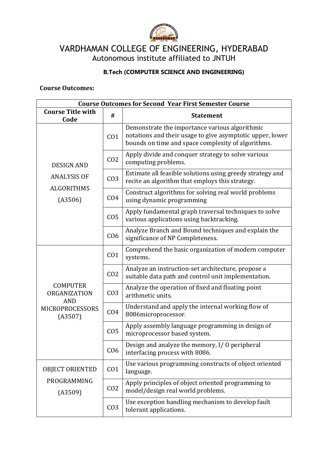

VARDHAMAN COLLEGE OF ENGINEERING, HYDERABAD Autonomous institute affiliated to JNTUH

## **B.Tech (COMPUTER SCIENCE AND ENGINEERING)**

**Course Outcomes:**

| <b>Course Outcomes for Second Year First Semester Course</b>                       |                 |                                                                                                                                                                   |  |  |  |
|------------------------------------------------------------------------------------|-----------------|-------------------------------------------------------------------------------------------------------------------------------------------------------------------|--|--|--|
| <b>Course Title with</b><br>Code                                                   | #               | <b>Statement</b>                                                                                                                                                  |  |  |  |
|                                                                                    | CO <sub>1</sub> | Demonstrate the importance various algorithmic<br>notations and their usage to give asymptotic upper, lower<br>bounds on time and space complexity of algorithms. |  |  |  |
| <b>DESIGN AND</b>                                                                  | CO <sub>2</sub> | Apply divide and conquer strategy to solve various<br>computing problems.                                                                                         |  |  |  |
| <b>ANALYSIS OF</b>                                                                 | CO <sub>3</sub> | Estimate all feasible solutions using greedy strategy and<br>recite an algorithm that employs this strategy.                                                      |  |  |  |
| <b>ALGORITHMS</b><br>(A3506)                                                       | CO <sub>4</sub> | Construct algorithms for solving real world problems<br>using dynamic programming                                                                                 |  |  |  |
|                                                                                    | CO <sub>5</sub> | Apply fundamental graph traversal techniques to solve<br>various applications using backtracking.                                                                 |  |  |  |
|                                                                                    | C <sub>06</sub> | Analyze Branch and Bound techniques and explain the<br>significance of NP Completeness.                                                                           |  |  |  |
| <b>COMPUTER</b><br>ORGANIZATION<br><b>AND</b><br><b>MICROPROCESSORS</b><br>(A3507) | CO <sub>1</sub> | Comprehend the basic organization of modern computer<br>systems.                                                                                                  |  |  |  |
|                                                                                    | CO <sub>2</sub> | Analyze an instruction-set architecture, propose a<br>suitable data path and control unit implementation.                                                         |  |  |  |
|                                                                                    | CO <sub>3</sub> | Analyze the operation of fixed and floating point<br>arithmetic units.                                                                                            |  |  |  |
|                                                                                    | CO <sub>4</sub> | Understand and apply the internal working flow of<br>8086microprocessor.                                                                                          |  |  |  |
|                                                                                    | CO <sub>5</sub> | Apply assembly language programming in design of<br>microprocessor based system.                                                                                  |  |  |  |
|                                                                                    | C <sub>06</sub> | Design and analyze the memory, I/O peripheral<br>interfacing process with 8086.                                                                                   |  |  |  |
| <b>OBJECT ORIENTED</b>                                                             | CO <sub>1</sub> | Use various programming constructs of object oriented<br>language.                                                                                                |  |  |  |
| PROGRAMMING<br>(A3509)                                                             | CO <sub>2</sub> | Apply principles of object oriented programming to<br>model/design real world problems.                                                                           |  |  |  |
|                                                                                    | CO <sub>3</sub> | Use exception handling mechanism to develop fault<br>tolerant applications.                                                                                       |  |  |  |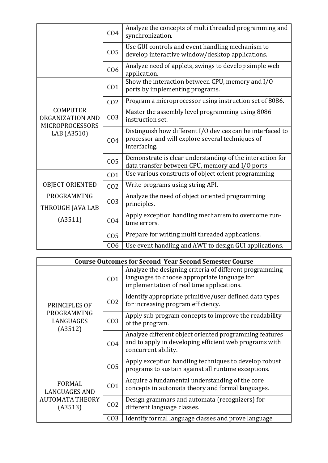|                                                                              | CO <sub>4</sub> | Analyze the concepts of multi threaded programming and<br>synchronization.                                                     |  |  |  |
|------------------------------------------------------------------------------|-----------------|--------------------------------------------------------------------------------------------------------------------------------|--|--|--|
|                                                                              | CO <sub>5</sub> | Use GUI controls and event handling mechanism to<br>develop interactive window/desktop applications.                           |  |  |  |
|                                                                              | CO <sub>6</sub> | Analyze need of applets, swings to develop simple web<br>application.                                                          |  |  |  |
|                                                                              | CO <sub>1</sub> | Show the interaction between CPU, memory and I/O<br>ports by implementing programs.                                            |  |  |  |
|                                                                              | CO <sub>2</sub> | Program a microprocessor using instruction set of 8086.                                                                        |  |  |  |
| <b>COMPUTER</b><br>ORGANIZATION AND<br><b>MICROPROCESSORS</b><br>LAB (A3510) | CO <sub>3</sub> | Master the assembly level programming using 8086<br>instruction set.                                                           |  |  |  |
|                                                                              | CO <sub>4</sub> | Distinguish how different I/O devices can be interfaced to<br>processor and will explore several techniques of<br>interfacing. |  |  |  |
|                                                                              | CO <sub>5</sub> | Demonstrate is clear understanding of the interaction for<br>data transfer between CPU, memory and I/O ports                   |  |  |  |
|                                                                              | CO <sub>1</sub> | Use various constructs of object orient programming                                                                            |  |  |  |
| <b>OBJECT ORIENTED</b>                                                       | CO <sub>2</sub> | Write programs using string API.                                                                                               |  |  |  |
| PROGRAMMING<br>THROUGH JAVA LAB                                              | CO <sub>3</sub> | Analyze the need of object oriented programming<br>principles.                                                                 |  |  |  |
| (A3511)<br>CO <sub>4</sub>                                                   |                 | Apply exception handling mechanism to overcome run-<br>time errors.                                                            |  |  |  |
|                                                                              | CO <sub>5</sub> | Prepare for writing multi threaded applications.                                                                               |  |  |  |
|                                                                              | CO6             | Use event handling and AWT to design GUI applications.                                                                         |  |  |  |

|               | <b>Course Outcomes for Second Year Second Semester Course</b> |                                                                                              |                                                                                                                                                      |  |  |  |
|---------------|---------------------------------------------------------------|----------------------------------------------------------------------------------------------|------------------------------------------------------------------------------------------------------------------------------------------------------|--|--|--|
|               |                                                               | CO <sub>1</sub>                                                                              | Analyze the designing criteria of different programming<br>languages to choose appropriate language for<br>implementation of real time applications. |  |  |  |
| PRINCIPLES OF | CO <sub>2</sub>                                               | Identify appropriate primitive/user defined data types<br>for increasing program efficiency. |                                                                                                                                                      |  |  |  |
|               | PROGRAMMING<br>LANGUAGES<br>(A3512)                           | CO <sub>3</sub>                                                                              | Apply sub program concepts to improve the readability<br>of the program.                                                                             |  |  |  |
|               |                                                               | CO <sub>4</sub>                                                                              | Analyze different object oriented programming features<br>and to apply in developing efficient web programs with<br>concurrent ability.              |  |  |  |
|               |                                                               | CO <sub>5</sub>                                                                              | Apply exception handling techniques to develop robust<br>programs to sustain against all runtime exceptions.                                         |  |  |  |
|               | <b>FORMAL</b><br><b>LANGUAGES AND</b>                         | CO <sub>1</sub>                                                                              | Acquire a fundamental understanding of the core<br>concepts in automata theory and formal languages.                                                 |  |  |  |
|               | <b>AUTOMATA THEORY</b><br>(A3513)                             | CO <sub>2</sub>                                                                              | Design grammars and automata (recognizers) for<br>different language classes.                                                                        |  |  |  |
|               |                                                               | CO <sub>3</sub>                                                                              | Identify formal language classes and prove language                                                                                                  |  |  |  |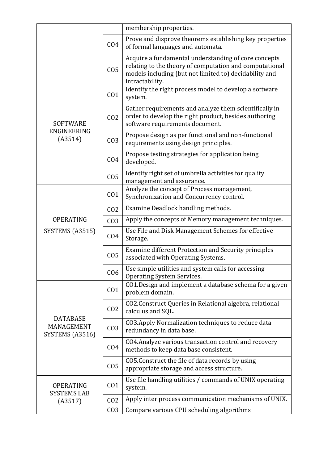|                                                  |                 | membership properties.                                                                                                                                                                       |  |  |
|--------------------------------------------------|-----------------|----------------------------------------------------------------------------------------------------------------------------------------------------------------------------------------------|--|--|
|                                                  | CO <sub>4</sub> | Prove and disprove theorems establishing key properties<br>of formal languages and automata.                                                                                                 |  |  |
|                                                  | CO <sub>5</sub> | Acquire a fundamental understanding of core concepts<br>relating to the theory of computation and computational<br>models including (but not limited to) decidability and<br>intractability. |  |  |
|                                                  | CO <sub>1</sub> | Identify the right process model to develop a software<br>system.                                                                                                                            |  |  |
| <b>SOFTWARE</b>                                  | CO <sub>2</sub> | Gather requirements and analyze them scientifically in<br>order to develop the right product, besides authoring<br>software requirements document.                                           |  |  |
| <b>ENGINEERING</b><br>(A3514)                    | CO <sub>3</sub> | Propose design as per functional and non-functional<br>requirements using design principles.                                                                                                 |  |  |
|                                                  | CO <sub>4</sub> | Propose testing strategies for application being<br>developed.                                                                                                                               |  |  |
|                                                  | CO <sub>5</sub> | Identify right set of umbrella activities for quality<br>management and assurance.                                                                                                           |  |  |
| <b>OPERATING</b><br>SYSTEMS (A3515)              | CO <sub>1</sub> | Analyze the concept of Process management,<br>Synchronization and Concurrency control.                                                                                                       |  |  |
|                                                  | CO <sub>2</sub> | Examine Deadlock handling methods.                                                                                                                                                           |  |  |
|                                                  | CO <sub>3</sub> | Apply the concepts of Memory management techniques.                                                                                                                                          |  |  |
|                                                  | CO <sub>4</sub> | Use File and Disk Management Schemes for effective<br>Storage.                                                                                                                               |  |  |
|                                                  | CO <sub>5</sub> | Examine different Protection and Security principles<br>associated with Operating Systems.                                                                                                   |  |  |
|                                                  | CO6             | Use simple utilities and system calls for accessing<br><b>Operating System Services.</b>                                                                                                     |  |  |
|                                                  | CO <sub>1</sub> | CO1. Design and implement a database schema for a given<br>problem domain.                                                                                                                   |  |  |
|                                                  | CO <sub>2</sub> | CO2. Construct Queries in Relational algebra, relational<br>calculus and SQL.                                                                                                                |  |  |
| <b>DATABASE</b><br>MANAGEMENT<br>SYSTEMS (A3516) | CO <sub>3</sub> | CO3. Apply Normalization techniques to reduce data<br>redundancy in data base.                                                                                                               |  |  |
|                                                  | CO <sub>4</sub> | CO4. Analyze various transaction control and recovery<br>methods to keep data base consistent.                                                                                               |  |  |
|                                                  | CO <sub>5</sub> | CO5. Construct the file of data records by using<br>appropriate storage and access structure.                                                                                                |  |  |
| <b>OPERATING</b><br><b>SYSTEMS LAB</b>           | CO <sub>1</sub> | Use file handling utilities / commands of UNIX operating<br>system.                                                                                                                          |  |  |
| (A3517)                                          | CO <sub>2</sub> | Apply inter process communication mechanisms of UNIX.                                                                                                                                        |  |  |
|                                                  | CO <sub>3</sub> | Compare various CPU scheduling algorithms                                                                                                                                                    |  |  |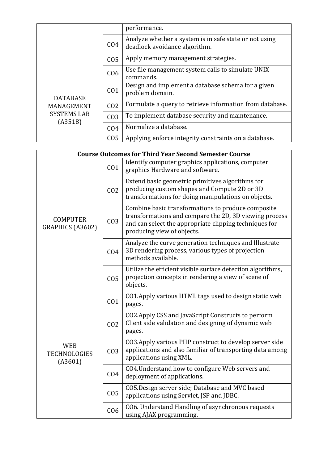|                                                                |                 | performance.                                                                            |  |  |
|----------------------------------------------------------------|-----------------|-----------------------------------------------------------------------------------------|--|--|
|                                                                | CO <sub>4</sub> | Analyze whether a system is in safe state or not using<br>deadlock avoidance algorithm. |  |  |
|                                                                | CO <sub>5</sub> | Apply memory management strategies.                                                     |  |  |
|                                                                | C <sub>06</sub> | Use file management system calls to simulate UNIX<br>commands.                          |  |  |
| <b>DATABASE</b><br>MANAGEMENT<br><b>SYSTEMS LAB</b><br>(A3518) | CO <sub>1</sub> | Design and implement a database schema for a given<br>problem domain.                   |  |  |
|                                                                | CO <sub>2</sub> | Formulate a query to retrieve information from database.                                |  |  |
|                                                                | CO <sub>3</sub> | To implement database security and maintenance.                                         |  |  |
|                                                                | CO <sub>4</sub> | Normalize a database.                                                                   |  |  |
|                                                                | CO <sub>5</sub> | Applying enforce integrity constraints on a database.                                   |  |  |

| <b>Course Outcomes for Third Year Second Semester Course</b> |                 |                                                                                                                                                                                                      |  |  |
|--------------------------------------------------------------|-----------------|------------------------------------------------------------------------------------------------------------------------------------------------------------------------------------------------------|--|--|
|                                                              | CO <sub>1</sub> | Identify computer graphics applications, computer<br>graphics Hardware and software.                                                                                                                 |  |  |
| <b>COMPUTER</b><br>GRAPHICS (A3602)                          | CO <sub>2</sub> | Extend basic geometric primitives algorithms for<br>producing custom shapes and Compute 2D or 3D<br>transformations for doing manipulations on objects.                                              |  |  |
|                                                              | CO <sub>3</sub> | Combine basic transformations to produce composite<br>transformations and compare the 2D, 3D viewing process<br>and can select the appropriate clipping techniques for<br>producing view of objects. |  |  |
|                                                              | CO <sub>4</sub> | Analyze the curve generation techniques and Illustrate<br>3D rendering process, various types of projection<br>methods available.                                                                    |  |  |
|                                                              | CO <sub>5</sub> | Utilize the efficient visible surface detection algorithms,<br>projection concepts in rendering a view of scene of<br>objects.                                                                       |  |  |
| <b>WEB</b><br><b>TECHNOLOGIES</b><br>(A3601)                 | CO <sub>1</sub> | CO1. Apply various HTML tags used to design static web<br>pages.                                                                                                                                     |  |  |
|                                                              | CO <sub>2</sub> | CO2.Apply CSS and JavaScript Constructs to perform<br>Client side validation and designing of dynamic web<br>pages.                                                                                  |  |  |
|                                                              | CO <sub>3</sub> | CO3. Apply various PHP construct to develop server side<br>applications and also familiar of transporting data among<br>applications using XML.                                                      |  |  |
|                                                              | CO <sub>4</sub> | CO4. Understand how to configure Web servers and<br>deployment of applications.                                                                                                                      |  |  |
|                                                              | CO <sub>5</sub> | CO5. Design server side; Database and MVC based<br>applications using Servlet, JSP and JDBC.                                                                                                         |  |  |
|                                                              | C <sub>06</sub> | CO6. Understand Handling of asynchronous requests<br>using AJAX programming.                                                                                                                         |  |  |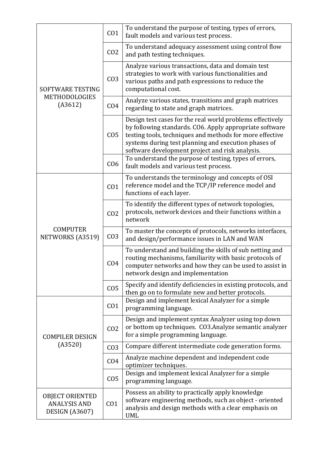|                                                                 | CO <sub>1</sub> | To understand the purpose of testing, types of errors,<br>fault models and various test process.                                                                                                                                                                                            |  |
|-----------------------------------------------------------------|-----------------|---------------------------------------------------------------------------------------------------------------------------------------------------------------------------------------------------------------------------------------------------------------------------------------------|--|
| SOFTWARE TESTING                                                | CO <sub>2</sub> | To understand adequacy assessment using control flow<br>and path testing techniques.                                                                                                                                                                                                        |  |
|                                                                 | CO <sub>3</sub> | Analyze various transactions, data and domain test<br>strategies to work with various functionalities and<br>various paths and path expressions to reduce the<br>computational cost.                                                                                                        |  |
| METHODOLOGIES<br>(A3612)                                        | CO <sub>4</sub> | Analyze various states, transitions and graph matrices<br>regarding to state and graph matrices.                                                                                                                                                                                            |  |
|                                                                 | CO <sub>5</sub> | Design test cases for the real world problems effectively<br>by following standards. CO6. Apply appropriate software<br>testing tools, techniques and methods for more effective<br>systems during test planning and execution phases of<br>software development project and risk analysis. |  |
|                                                                 | CO <sub>6</sub> | To understand the purpose of testing, types of errors,<br>fault models and various test process.                                                                                                                                                                                            |  |
| <b>COMPUTER</b><br>NETWORKS (A3519)                             | CO <sub>1</sub> | To understands the terminology and concepts of OSI<br>reference model and the TCP/IP reference model and<br>functions of each layer.                                                                                                                                                        |  |
|                                                                 | CO <sub>2</sub> | To identify the different types of network topologies,<br>protocols, network devices and their functions within a<br>network                                                                                                                                                                |  |
|                                                                 | CO <sub>3</sub> | To master the concepts of protocols, networks interfaces,<br>and design/performance issues in LAN and WAN                                                                                                                                                                                   |  |
|                                                                 | CO <sub>4</sub> | To understand and building the skills of sub netting and<br>routing mechanisms, familiarity with basic protocols of<br>computer networks and how they can be used to assist in<br>network design and implementation                                                                         |  |
|                                                                 | CO <sub>5</sub> | Specify and identify deficiencies in existing protocols, and<br>then go on to formulate new and better protocols.                                                                                                                                                                           |  |
|                                                                 | CO <sub>1</sub> | Design and implement lexical Analyzer for a simple<br>programming language.                                                                                                                                                                                                                 |  |
| <b>COMPILER DESIGN</b>                                          | CO <sub>2</sub> | Design and implement syntax Analyzer using top down<br>or bottom up techniques. CO3.Analyze semantic analyzer<br>for a simple programming language.                                                                                                                                         |  |
| (A3520)                                                         | CO <sub>3</sub> | Compare different intermediate code generation forms.                                                                                                                                                                                                                                       |  |
|                                                                 | CO <sub>4</sub> | Analyze machine dependent and independent code<br>optimizer techniques.                                                                                                                                                                                                                     |  |
|                                                                 | CO <sub>5</sub> | Design and implement lexical Analyzer for a simple<br>programming language.                                                                                                                                                                                                                 |  |
| <b>OBJECT ORIENTED</b><br><b>ANALYSIS AND</b><br>DESIGN (A3607) | CO <sub>1</sub> | Possess an ability to practically apply knowledge<br>software engineering methods, such as object - oriented<br>analysis and design methods with a clear emphasis on<br><b>UML</b>                                                                                                          |  |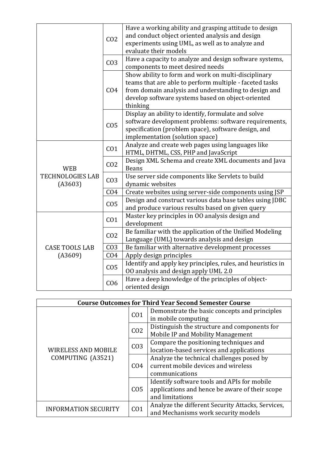|                                                  | CO <sub>2</sub> | Have a working ability and grasping attitude to design<br>and conduct object oriented analysis and design<br>experiments using UML, as well as to analyze and<br>evaluate their models                                                  |
|--------------------------------------------------|-----------------|-----------------------------------------------------------------------------------------------------------------------------------------------------------------------------------------------------------------------------------------|
|                                                  | CO <sub>3</sub> | Have a capacity to analyze and design software systems,<br>components to meet desired needs                                                                                                                                             |
|                                                  | CO <sub>4</sub> | Show ability to form and work on multi-disciplinary<br>teams that are able to perform multiple - faceted tasks<br>from domain analysis and understanding to design and<br>develop software systems based on object-oriented<br>thinking |
|                                                  | CO <sub>5</sub> | Display an ability to identify, formulate and solve<br>software development problems: software requirements,<br>specification (problem space), software design, and<br>implementation (solution space)                                  |
| <b>WEB</b><br><b>TECHNOLOGIES LAB</b><br>(A3603) | CO <sub>1</sub> | Analyze and create web pages using languages like<br>HTML, DHTML, CSS, PHP and JavaScript                                                                                                                                               |
|                                                  | CO <sub>2</sub> | Design XML Schema and create XML documents and Java<br><b>Beans</b>                                                                                                                                                                     |
|                                                  | CO <sub>3</sub> | Use server side components like Servlets to build<br>dynamic websites                                                                                                                                                                   |
|                                                  | CO <sub>4</sub> | Create websites using server-side components using JSP                                                                                                                                                                                  |
|                                                  | CO <sub>5</sub> | Design and construct various data base tables using JDBC<br>and produce various results based on given query                                                                                                                            |
|                                                  | CO <sub>1</sub> | Master key principles in OO analysis design and<br>development                                                                                                                                                                          |
|                                                  | CO <sub>2</sub> | Be familiar with the application of the Unified Modeling<br>Language (UML) towards analysis and design                                                                                                                                  |
| <b>CASE TOOLS LAB</b>                            | CO <sub>3</sub> | Be familiar with alternative development processes                                                                                                                                                                                      |
| (A3609)                                          | CO <sub>4</sub> | Apply design principles                                                                                                                                                                                                                 |
|                                                  | CO <sub>5</sub> | Identify and apply key principles, rules, and heuristics in<br>00 analysis and design apply UML 2.0                                                                                                                                     |
|                                                  | C <sub>06</sub> | Have a deep knowledge of the principles of object-<br>oriented design                                                                                                                                                                   |

| <b>Course Outcomes for Third Year Second Semester Course</b> |                 |                                                                                                                  |  |
|--------------------------------------------------------------|-----------------|------------------------------------------------------------------------------------------------------------------|--|
| <b>WIRELESS AND MOBILE</b><br>COMPUTING (A3521)              | CO <sub>1</sub> | Demonstrate the basic concepts and principles<br>in mobile computing                                             |  |
|                                                              | CO <sub>2</sub> | Distinguish the structure and components for<br>Mobile IP and Mobility Management                                |  |
|                                                              | CO <sub>3</sub> | Compare the positioning techniques and<br>location-based services and applications                               |  |
|                                                              | CO <sub>4</sub> | Analyze the technical challenges posed by<br>current mobile devices and wireless<br>communications               |  |
|                                                              | CO <sub>5</sub> | Identify software tools and APIs for mobile<br>applications and hence be aware of their scope<br>and limitations |  |
| <b>INFORMATION SECURITY</b>                                  | CO <sub>1</sub> | Analyze the different Security Attacks, Services,<br>and Mechanisms work security models                         |  |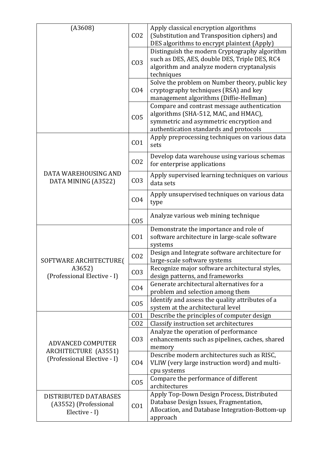| (A3608)                                                         | CO <sub>2</sub> | Apply classical encryption algorithms<br>(Substitution and Transposition ciphers) and<br>DES algorithms to encrypt plaintext (Apply)                                     |
|-----------------------------------------------------------------|-----------------|--------------------------------------------------------------------------------------------------------------------------------------------------------------------------|
|                                                                 | CO <sub>3</sub> | Distinguish the modern Cryptography algorithm<br>such as DES, AES, double DES, Triple DES, RC4<br>algorithm and analyze modern cryptanalysis<br>techniques               |
|                                                                 | CO <sub>4</sub> | Solve the problem on Number theory, public key<br>cryptography techniques (RSA) and key<br>management algorithms (Diffie-Hellman)                                        |
|                                                                 | CO <sub>5</sub> | Compare and contrast message authentication<br>algorithms (SHA-512, MAC, and HMAC),<br>symmetric and asymmetric encryption and<br>authentication standards and protocols |
|                                                                 | CO <sub>1</sub> | Apply preprocessing techniques on various data<br>sets                                                                                                                   |
|                                                                 | CO <sub>2</sub> | Develop data warehouse using various schemas<br>for enterprise applications                                                                                              |
| DATA WAREHOUSING AND<br>DATA MINING (A3522)                     | CO <sub>3</sub> | Apply supervised learning techniques on various<br>data sets                                                                                                             |
|                                                                 | CO <sub>4</sub> | Apply unsupervised techniques on various data<br>type                                                                                                                    |
|                                                                 | CO <sub>5</sub> | Analyze various web mining technique                                                                                                                                     |
|                                                                 | CO <sub>1</sub> | Demonstrate the importance and role of<br>software architecture in large-scale software<br>systems                                                                       |
| SOFTWARE ARCHITECTURE(                                          | CO <sub>2</sub> | Design and Integrate software architecture for<br>large-scale software systems                                                                                           |
| A3652)<br>(Professional Elective - I)                           | CO <sub>3</sub> | Recognize major software architectural styles,<br>design patterns, and frameworks                                                                                        |
|                                                                 | CO <sub>4</sub> | Generate architectural alternatives for a<br>problem and selection among them                                                                                            |
|                                                                 | CO <sub>5</sub> | Identify and assess the quality attributes of a<br>system at the architectural level                                                                                     |
|                                                                 | CO <sub>1</sub> | Describe the principles of computer design                                                                                                                               |
|                                                                 | CO <sub>2</sub> | Classify instruction set architectures                                                                                                                                   |
|                                                                 |                 | Analyze the operation of performance                                                                                                                                     |
| <b>ADVANCED COMPUTER</b>                                        | CO <sub>3</sub> | enhancements such as pipelines, caches, shared                                                                                                                           |
| ARCHITECTURE (A3551)                                            |                 | memory<br>Describe modern architectures such as RISC,                                                                                                                    |
| (Professional Elective - I)                                     | CO <sub>4</sub> | VLIW (very large instruction word) and multi-                                                                                                                            |
|                                                                 |                 | cpu systems                                                                                                                                                              |
|                                                                 | CO <sub>5</sub> | Compare the performance of different<br>architectures                                                                                                                    |
| DISTRIBUTED DATABASES<br>(A3552) (Professional<br>Elective - I) | CO <sub>1</sub> | Apply Top-Down Design Process, Distributed<br>Database Design Issues, Fragmentation,<br>Allocation, and Database Integration-Bottom-up<br>approach                       |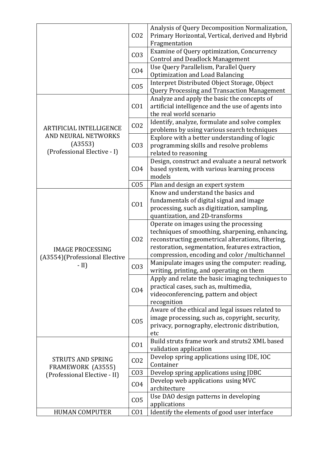|                                                               | CO <sub>2</sub> | Analysis of Query Decomposition Normalization,<br>Primary Horizontal, Vertical, derived and Hybrid<br>Fragmentation                                                                                                                                 |
|---------------------------------------------------------------|-----------------|-----------------------------------------------------------------------------------------------------------------------------------------------------------------------------------------------------------------------------------------------------|
|                                                               | CO <sub>3</sub> | Examine of Query optimization, Concurrency<br><b>Control and Deadlock Management</b>                                                                                                                                                                |
|                                                               | CO <sub>4</sub> | Use Query Parallelism, Parallel Query<br>Optimization and Load Balancing                                                                                                                                                                            |
|                                                               | CO <sub>5</sub> | Interpret Distributed Object Storage, Object<br>Query Processing and Transaction Management                                                                                                                                                         |
|                                                               | CO <sub>1</sub> | Analyze and apply the basic the concepts of<br>artificial intelligence and the use of agents into<br>the real world scenario                                                                                                                        |
| <b>ARTIFICIAL INTELLIGENCE</b>                                | CO <sub>2</sub> | Identify, analyze, formulate and solve complex<br>problems by using various search techniques                                                                                                                                                       |
| AND NEURAL NETWORKS<br>(A3553)<br>(Professional Elective - I) | CO <sub>3</sub> | Explore with a better understanding of logic<br>programming skills and resolve problems<br>related to reasoning                                                                                                                                     |
|                                                               | CO <sub>4</sub> | Design, construct and evaluate a neural network<br>based system, with various learning process<br>models                                                                                                                                            |
|                                                               | CO <sub>5</sub> | Plan and design an expert system                                                                                                                                                                                                                    |
|                                                               | CO <sub>1</sub> | Know and understand the basics and<br>fundamentals of digital signal and image<br>processing, such as digitization, sampling,<br>quantization, and 2D-transforms                                                                                    |
| <b>IMAGE PROCESSING</b>                                       | CO <sub>2</sub> | Operate on images using the processing<br>techniques of smoothing, sharpening, enhancing,<br>reconstructing geometrical alterations, filtering,<br>restoration, segmentation, features extraction,<br>compression, encoding and color /multichannel |
| (A3554) (Professional Elective<br>$-$ II)                     | CO <sub>3</sub> | Manipulate images using the computer: reading,<br>writing, printing, and operating on them                                                                                                                                                          |
|                                                               | CO <sub>4</sub> | Apply and relate the basic imaging techniques to<br>practical cases, such as, multimedia,<br>videoconferencing, pattern and object<br>recognition                                                                                                   |
|                                                               | CO <sub>5</sub> | Aware of the ethical and legal issues related to<br>image processing, such as, copyright, security,<br>privacy, pornography, electronic distribution,<br>etc                                                                                        |
|                                                               | CO <sub>1</sub> | Build struts frame work and struts2 XML based<br>validation application                                                                                                                                                                             |
| <b>STRUTS AND SPRING</b><br>FRAMEWORK (A3555)                 | CO <sub>2</sub> | Develop spring applications using IDE, IOC<br>Container                                                                                                                                                                                             |
| (Professional Elective - II)                                  | CO <sub>3</sub> | Develop spring applications using JDBC                                                                                                                                                                                                              |
|                                                               | CO <sub>4</sub> | Develop web applications using MVC<br>architecture                                                                                                                                                                                                  |
|                                                               | CO <sub>5</sub> | Use DAO design patterns in developing<br>applications                                                                                                                                                                                               |
| <b>HUMAN COMPUTER</b>                                         | CO <sub>1</sub> | Identify the elements of good user interface                                                                                                                                                                                                        |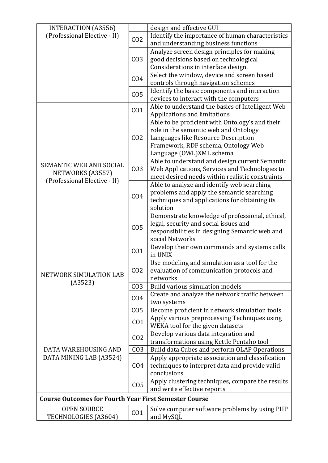| INTERACTION (A3556)                                          |                 | design and effective GUI                                                                      |
|--------------------------------------------------------------|-----------------|-----------------------------------------------------------------------------------------------|
| (Professional Elective - II)                                 | CO <sub>2</sub> | Identify the importance of human characteristics                                              |
|                                                              |                 | and understanding business functions                                                          |
|                                                              |                 | Analyze screen design principles for making                                                   |
|                                                              | CO <sub>3</sub> | good decisions based on technological                                                         |
|                                                              |                 | Considerations in interface design.                                                           |
|                                                              | CO <sub>4</sub> | Select the window, device and screen based<br>controls through navigation schemes             |
|                                                              | CO <sub>5</sub> | Identify the basic components and interaction<br>devices to interact with the computers       |
|                                                              |                 | Able to understand the basics of Intelligent Web                                              |
|                                                              | CO <sub>1</sub> | Applications and limitations                                                                  |
|                                                              |                 | Able to be proficient with Ontology's and their                                               |
|                                                              |                 | role in the semantic web and Ontology                                                         |
|                                                              | CO <sub>2</sub> | Languages like Resource Description                                                           |
|                                                              |                 | Framework, RDF schema, Ontology Web                                                           |
|                                                              |                 | Language (OWL)XML schema                                                                      |
| SEMANTIC WEB AND SOCIAL                                      |                 | Able to understand and design current Semantic                                                |
| NETWORKS (A3557)                                             | CO <sub>3</sub> | Web Applications, Services and Technologies to                                                |
| (Professional Elective - II)                                 |                 | meet desired needs within realistic constraints<br>Able to analyze and identify web searching |
|                                                              |                 | problems and apply the semantic searching                                                     |
|                                                              | CO <sub>4</sub> | techniques and applications for obtaining its                                                 |
|                                                              |                 | solution                                                                                      |
|                                                              |                 | Demonstrate knowledge of professional, ethical,                                               |
|                                                              |                 | legal, security and social issues and                                                         |
|                                                              | CO <sub>5</sub> | responsibilities in designing Semantic web and                                                |
|                                                              |                 | social Networks                                                                               |
|                                                              | CO <sub>1</sub> | Develop their own commands and systems calls<br>in UNIX                                       |
|                                                              |                 | Use modeling and simulation as a tool for the                                                 |
| NETWORK SIMULATION LAB                                       | CO <sub>2</sub> | evaluation of communication protocols and                                                     |
| (A3523)                                                      |                 | networks                                                                                      |
|                                                              | CO <sub>3</sub> | Build various simulation models                                                               |
|                                                              | CO <sub>4</sub> | Create and analyze the network traffic between                                                |
|                                                              |                 | two systems                                                                                   |
|                                                              | CO <sub>5</sub> | Become proficient in network simulation tools                                                 |
|                                                              | CO <sub>1</sub> | Apply various preprocessing Techniques using                                                  |
|                                                              |                 | WEKA tool for the given datasets                                                              |
|                                                              | CO <sub>2</sub> | Develop various data integration and<br>transformations using Kettle Pentaho tool             |
| DATA WAREHOUSING AND                                         | CO <sub>3</sub> | Build data Cubes and perform OLAP Operations                                                  |
| DATA MINING LAB (A3524)                                      |                 | Apply appropriate association and classification                                              |
|                                                              | CO <sub>4</sub> | techniques to interpret data and provide valid                                                |
|                                                              |                 | conclusions                                                                                   |
|                                                              | CO <sub>5</sub> | Apply clustering techniques, compare the results                                              |
|                                                              |                 | and write effective reports                                                                   |
| <b>Course Outcomes for Fourth Year First Semester Course</b> |                 |                                                                                               |
| <b>OPEN SOURCE</b>                                           | CO <sub>1</sub> | Solve computer software problems by using PHP                                                 |
| TECHNOLOGIES (A3604)                                         |                 | and MySQL                                                                                     |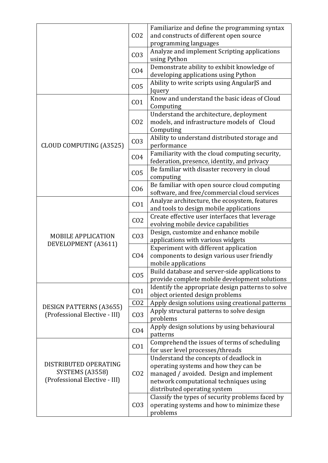|                                                                           | CO <sub>2</sub> | Familiarize and define the programming syntax<br>and constructs of different open source<br>programming languages                                                                                    |
|---------------------------------------------------------------------------|-----------------|------------------------------------------------------------------------------------------------------------------------------------------------------------------------------------------------------|
|                                                                           | CO <sub>3</sub> | Analyze and implement Scripting applications<br>using Python                                                                                                                                         |
|                                                                           | CO <sub>4</sub> | Demonstrate ability to exhibit knowledge of<br>developing applications using Python                                                                                                                  |
|                                                                           | CO <sub>5</sub> | Ability to write scripts using AngularJS and<br>Jquery                                                                                                                                               |
|                                                                           | CO <sub>1</sub> | Know and understand the basic ideas of Cloud<br>Computing                                                                                                                                            |
|                                                                           | CO <sub>2</sub> | Understand the architecture, deployment<br>models, and infrastructure models of Cloud<br>Computing                                                                                                   |
| <b>CLOUD COMPUTING (A3525)</b>                                            | CO <sub>3</sub> | Ability to understand distributed storage and<br>performance                                                                                                                                         |
|                                                                           | CO <sub>4</sub> | Familiarity with the cloud computing security,<br>federation, presence, identity, and privacy                                                                                                        |
|                                                                           | CO <sub>5</sub> | Be familiar with disaster recovery in cloud<br>computing                                                                                                                                             |
|                                                                           | CO <sub>6</sub> | Be familiar with open source cloud computing<br>software, and free/commercial cloud services                                                                                                         |
|                                                                           | CO <sub>1</sub> | Analyze architecture, the ecosystem, features<br>and tools to design mobile applications                                                                                                             |
|                                                                           | CO <sub>2</sub> | Create effective user interfaces that leverage<br>evolving mobile device capabilities                                                                                                                |
| <b>MOBILE APPLICATION</b>                                                 | CO <sub>3</sub> | Design, customize and enhance mobile<br>applications with various widgets                                                                                                                            |
| DEVELOPMENT (A3611)                                                       | CO <sub>4</sub> | Experiment with different application<br>components to design various user friendly<br>mobile applications                                                                                           |
|                                                                           | CO <sub>5</sub> | Build database and server-side applications to<br>provide complete mobile development solutions                                                                                                      |
|                                                                           | CO <sub>1</sub> | Identify the appropriate design patterns to solve<br>object oriented design problems                                                                                                                 |
| <b>DESIGN PATTERNS (A3655)</b>                                            | CO <sub>2</sub> | Apply design solutions using creational patterns                                                                                                                                                     |
| (Professional Elective - III)                                             | CO <sub>3</sub> | Apply structural patterns to solve design<br>problems                                                                                                                                                |
|                                                                           | CO <sub>4</sub> | Apply design solutions by using behavioural<br>patterns                                                                                                                                              |
| DISTRIBUTED OPERATING<br>SYSTEMS (A3558)<br>(Professional Elective - III) | CO <sub>1</sub> | Comprehend the issues of terms of scheduling<br>for user level processes/threads                                                                                                                     |
|                                                                           | CO <sub>2</sub> | Understand the concepts of deadlock in<br>operating systems and how they can be<br>managed / avoided. Design and implement<br>network computational techniques using<br>distributed operating system |
|                                                                           | CO <sub>3</sub> | Classify the types of security problems faced by<br>operating systems and how to minimize these<br>problems                                                                                          |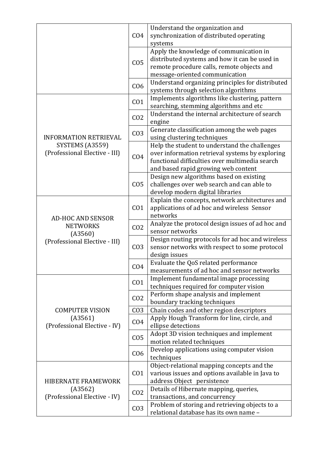|                                                                       | CO <sub>4</sub> | Understand the organization and<br>synchronization of distributed operating<br>systems                                                                                                    |
|-----------------------------------------------------------------------|-----------------|-------------------------------------------------------------------------------------------------------------------------------------------------------------------------------------------|
|                                                                       | CO <sub>5</sub> | Apply the knowledge of communication in<br>distributed systems and how it can be used in<br>remote procedure calls, remote objects and<br>message-oriented communication                  |
|                                                                       | C <sub>06</sub> | Understand organizing principles for distributed<br>systems through selection algorithms                                                                                                  |
|                                                                       | CO <sub>1</sub> | Implements algorithms like clustering, pattern<br>searching, stemming algorithms and etc                                                                                                  |
|                                                                       | CO <sub>2</sub> | Understand the internal architecture of search<br>engine                                                                                                                                  |
| <b>INFORMATION RETRIEVAL</b>                                          | CO <sub>3</sub> | Generate classification among the web pages<br>using clustering techniques                                                                                                                |
| SYSTEMS (A3559)<br>(Professional Elective - III)                      | CO <sub>4</sub> | Help the student to understand the challenges<br>over information retrieval systems by exploring<br>functional difficulties over multimedia search<br>and based rapid growing web content |
|                                                                       | CO <sub>5</sub> | Design new algorithms based on existing<br>challenges over web search and can able to<br>develop modern digital libraries                                                                 |
| <b>AD-HOC AND SENSOR</b>                                              | CO <sub>1</sub> | Explain the concepts, network architectures and<br>applications of ad hoc and wireless Sensor<br>networks                                                                                 |
| <b>NETWORKS</b><br>(A3560)                                            | CO <sub>2</sub> | Analyze the protocol design issues of ad hoc and<br>sensor networks                                                                                                                       |
| (Professional Elective - III)                                         | CO <sub>3</sub> | Design routing protocols for ad hoc and wireless<br>sensor networks with respect to some protocol<br>design issues                                                                        |
|                                                                       | CO <sub>4</sub> | Evaluate the QoS related performance<br>measurements of ad hoc and sensor networks                                                                                                        |
|                                                                       | CO <sub>1</sub> | Implement fundamental image processing<br>techniques required for computer vision                                                                                                         |
|                                                                       | CO <sub>2</sub> | Perform shape analysis and implement<br>boundary tracking techniques                                                                                                                      |
| <b>COMPUTER VISION</b>                                                | CO <sub>3</sub> | Chain codes and other region descriptors                                                                                                                                                  |
| (A3561)<br>(Professional Elective - IV)                               | CO <sub>4</sub> | Apply Hough Transform for line, circle, and<br>ellipse detections                                                                                                                         |
|                                                                       | CO <sub>5</sub> | Adopt 3D vision techniques and implement<br>motion related techniques                                                                                                                     |
|                                                                       | C <sub>06</sub> | Develop applications using computer vision<br>techniques                                                                                                                                  |
| <b>HIBERNATE FRAMEWORK</b><br>(A3562)<br>(Professional Elective - IV) | CO <sub>1</sub> | Object-relational mapping concepts and the<br>various issues and options available in Java to<br>address Object persistence                                                               |
|                                                                       | CO <sub>2</sub> | Details of Hibernate mapping, queries,<br>transactions, and concurrency                                                                                                                   |
|                                                                       | CO <sub>3</sub> | Problem of storing and retrieving objects to a<br>relational database has its own name -                                                                                                  |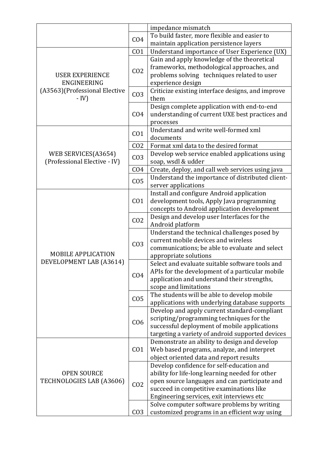|                                                |                 | impedance mismatch                                                                        |
|------------------------------------------------|-----------------|-------------------------------------------------------------------------------------------|
|                                                |                 | To build faster, more flexible and easier to                                              |
|                                                | CO <sub>4</sub> | maintain application persistence layers                                                   |
|                                                | CO <sub>1</sub> | Understand importance of User Experience (UX)                                             |
|                                                |                 | Gain and apply knowledge of the theoretical                                               |
|                                                |                 | frameworks, methodological approaches, and                                                |
| <b>USER EXPERIENCE</b>                         | CO <sub>2</sub> | problems solving techniques related to user                                               |
| ENGINEERING                                    |                 | experience design                                                                         |
| (A3563) (Professional Elective                 |                 | Criticize existing interface designs, and improve                                         |
| $- IV$                                         | CO <sub>3</sub> | them                                                                                      |
|                                                |                 | Design complete application with end-to-end                                               |
|                                                | CO <sub>4</sub> | understanding of current UXE best practices and                                           |
|                                                |                 | processes                                                                                 |
|                                                | CO <sub>1</sub> | Understand and write well-formed xml                                                      |
|                                                |                 | documents                                                                                 |
|                                                | CO <sub>2</sub> | Format xml data to the desired format                                                     |
| WEB SERVICES(A3654)                            | CO <sub>3</sub> | Develop web service enabled applications using                                            |
| (Professional Elective - IV)                   |                 | soap, wsdl & udder                                                                        |
|                                                | CO <sub>4</sub> | Create, deploy, and call web services using java                                          |
|                                                | CO <sub>5</sub> | Understand the importance of distributed client-                                          |
|                                                |                 | server applications                                                                       |
|                                                |                 | Install and configure Android application                                                 |
|                                                | CO <sub>1</sub> | development tools, Apply Java programming                                                 |
|                                                |                 | concepts to Android application development                                               |
|                                                | CO <sub>2</sub> | Design and develop user Interfaces for the                                                |
|                                                |                 | Android platform                                                                          |
|                                                |                 | Understand the technical challenges posed by                                              |
|                                                | CO <sub>3</sub> | current mobile devices and wireless                                                       |
|                                                |                 | communications; be able to evaluate and select                                            |
| <b>MOBILE APPLICATION</b>                      |                 | appropriate solutions                                                                     |
| DEVELOPMENT LAB (A3614)                        |                 | Select and evaluate suitable software tools and                                           |
|                                                | CO <sub>4</sub> | APIs for the development of a particular mobile                                           |
|                                                |                 | application and understand their strengths,                                               |
|                                                |                 | scope and limitations                                                                     |
|                                                | CO <sub>5</sub> | The students will be able to develop mobile                                               |
|                                                |                 | applications with underlying database supports                                            |
|                                                |                 | Develop and apply current standard-compliant                                              |
|                                                | C <sub>06</sub> | scripting/programming techniques for the                                                  |
|                                                |                 | successful deployment of mobile applications                                              |
|                                                |                 | targeting a variety of android supported devices                                          |
|                                                |                 | Demonstrate an ability to design and develop                                              |
| <b>OPEN SOURCE</b><br>TECHNOLOGIES LAB (A3606) | CO <sub>1</sub> | Web based programs, analyze, and interpret                                                |
|                                                |                 | object oriented data and report results                                                   |
|                                                |                 | Develop confidence for self-education and                                                 |
|                                                |                 | ability for life-long learning needed for other                                           |
|                                                | CO <sub>2</sub> | open source languages and can participate and<br>succeed in competitive examinations like |
|                                                |                 | Engineering services, exit interviews etc                                                 |
|                                                |                 | Solve computer software problems by writing                                               |
|                                                | CO <sub>3</sub> | customized programs in an efficient way using                                             |
|                                                |                 |                                                                                           |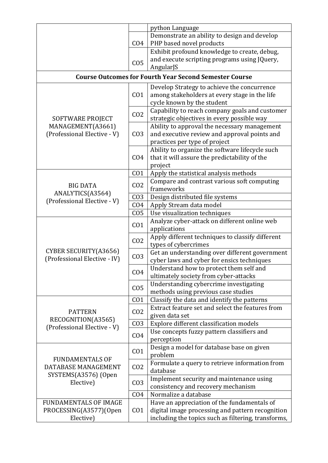|                                                                                    |                 | python Language                                                                                 |
|------------------------------------------------------------------------------------|-----------------|-------------------------------------------------------------------------------------------------|
|                                                                                    |                 | Demonstrate an ability to design and develop                                                    |
|                                                                                    | CO <sub>4</sub> | PHP based novel products                                                                        |
|                                                                                    |                 | Exhibit profound knowledge to create, debug,                                                    |
|                                                                                    | CO <sub>5</sub> | and execute scripting programs using JQuery,                                                    |
|                                                                                    |                 | AngularJS                                                                                       |
|                                                                                    |                 | <b>Course Outcomes for Fourth Year Second Semester Course</b>                                   |
|                                                                                    |                 | Develop Strategy to achieve the concurrence                                                     |
|                                                                                    | CO <sub>1</sub> | among stakeholders at every stage in the life                                                   |
|                                                                                    |                 | cycle known by the student                                                                      |
|                                                                                    | CO <sub>2</sub> | Capability to reach company goals and customer                                                  |
| SOFTWARE PROJECT                                                                   |                 | strategic objectives in every possible way                                                      |
| MANAGEMENT(A3661)                                                                  |                 | Ability to approval the necessary management                                                    |
| (Professional Elective - V)                                                        | CO <sub>3</sub> | and executive review and approval points and                                                    |
|                                                                                    |                 | practices per type of project                                                                   |
|                                                                                    |                 | Ability to organize the software lifecycle such                                                 |
|                                                                                    | CO <sub>4</sub> | that it will assure the predictability of the                                                   |
|                                                                                    |                 | project                                                                                         |
|                                                                                    | CO <sub>1</sub> | Apply the statistical analysis methods                                                          |
| <b>BIG DATA</b>                                                                    | CO <sub>2</sub> | Compare and contrast various soft computing                                                     |
| ANALYTICS(A3564)                                                                   |                 | frameworks                                                                                      |
| (Professional Elective - V)                                                        | CO <sub>3</sub> | Design distributed file systems                                                                 |
|                                                                                    | CO <sub>4</sub> | Apply Stream data model                                                                         |
|                                                                                    | CO <sub>5</sub> | Use visualization techniques                                                                    |
|                                                                                    | CO <sub>1</sub> | Analyze cyber-attack on different online web                                                    |
|                                                                                    |                 | applications                                                                                    |
|                                                                                    | CO <sub>2</sub> | Apply different techniques to classify different                                                |
| CYBER SECURITY(A3656)                                                              |                 | types of cybercrimes                                                                            |
| (Professional Elective - IV)                                                       | CO <sub>3</sub> | Get an understanding over different government                                                  |
|                                                                                    |                 | cyber laws and cyber for ensics techniques                                                      |
|                                                                                    | CO <sub>4</sub> | Understand how to protect them self and                                                         |
|                                                                                    |                 | ultimately society from cyber-attacks                                                           |
|                                                                                    | CO <sub>5</sub> | Understanding cybercrime investigating                                                          |
|                                                                                    |                 | methods using previous case studies                                                             |
|                                                                                    | CO <sub>1</sub> | Classify the data and identify the patterns<br>Extract feature set and select the features from |
| <b>PATTERN</b>                                                                     | CO <sub>2</sub> | given data set                                                                                  |
| RECOGNITION(A3565)                                                                 | CO <sub>3</sub> | Explore different classification models                                                         |
| (Professional Elective - V)                                                        |                 | Use concepts fuzzy pattern classifiers and                                                      |
|                                                                                    | CO <sub>4</sub> | perception                                                                                      |
|                                                                                    |                 | Design a model for database base on given                                                       |
| <b>FUNDAMENTALS OF</b><br>DATABASE MANAGEMENT<br>SYSTEMS(A3576) (Open<br>Elective) | CO <sub>1</sub> | problem                                                                                         |
|                                                                                    |                 | Formulate a query to retrieve information from                                                  |
|                                                                                    | CO <sub>2</sub> | database                                                                                        |
|                                                                                    |                 | Implement security and maintenance using                                                        |
|                                                                                    | CO <sub>3</sub> | consistency and recovery mechanism                                                              |
|                                                                                    | CO <sub>4</sub> | Normalize a database                                                                            |
| <b>FUNDAMENTALS OF IMAGE</b>                                                       |                 | Have an appreciation of the fundamentals of                                                     |
| PROCESSING(A3577)(Open                                                             | CO <sub>1</sub> | digital image processing and pattern recognition                                                |
| Elective)                                                                          |                 | including the topics such as filtering, transforms,                                             |
|                                                                                    |                 |                                                                                                 |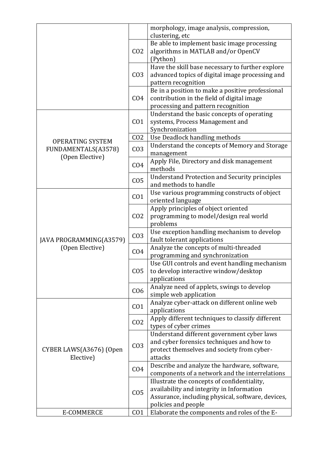|                                                |                 | morphology, image analysis, compression,<br>clustering, etc                                                                                                          |
|------------------------------------------------|-----------------|----------------------------------------------------------------------------------------------------------------------------------------------------------------------|
|                                                | CO <sub>2</sub> | Be able to implement basic image processing<br>algorithms in MATLAB and/or OpenCV<br>(Python)                                                                        |
|                                                | CO <sub>3</sub> | Have the skill base necessary to further explore<br>advanced topics of digital image processing and<br>pattern recognition                                           |
|                                                | CO <sub>4</sub> | Be in a position to make a positive professional<br>contribution in the field of digital image<br>processing and pattern recognition                                 |
|                                                | CO <sub>1</sub> | Understand the basic concepts of operating<br>systems, Process Management and<br>Synchronization                                                                     |
|                                                | CO <sub>2</sub> | Use Deadlock handling methods                                                                                                                                        |
| <b>OPERATING SYSTEM</b><br>FUNDAMENTALS(A3578) | CO <sub>3</sub> | Understand the concepts of Memory and Storage<br>management                                                                                                          |
| (Open Elective)                                | CO <sub>4</sub> | Apply File, Directory and disk management<br>methods                                                                                                                 |
|                                                | CO <sub>5</sub> | <b>Understand Protection and Security principles</b><br>and methods to handle                                                                                        |
|                                                | CO <sub>1</sub> | Use various programming constructs of object<br>oriented language                                                                                                    |
|                                                | CO <sub>2</sub> | Apply principles of object oriented<br>programming to model/design real world<br>problems                                                                            |
| JAVA PROGRAMMING(A3579)                        | CO <sub>3</sub> | Use exception handling mechanism to develop<br>fault tolerant applications                                                                                           |
| (Open Elective)                                | CO <sub>4</sub> | Analyze the concepts of multi-threaded<br>programming and synchronization                                                                                            |
|                                                | CO <sub>5</sub> | Use GUI controls and event handling mechanism<br>to develop interactive window/desktop<br>applications                                                               |
|                                                | CO6             | Analyze need of applets, swings to develop<br>simple web application                                                                                                 |
|                                                | CO <sub>1</sub> | Analyze cyber-attack on different online web<br>applications                                                                                                         |
|                                                | CO <sub>2</sub> | Apply different techniques to classify different<br>types of cyber crimes                                                                                            |
| CYBER LAWS(A3676) (Open<br>Elective)           | CO <sub>3</sub> | Understand different government cyber laws<br>and cyber forensics techniques and how to<br>protect themselves and society from cyber-<br>attacks                     |
|                                                | CO <sub>4</sub> | Describe and analyze the hardware, software,<br>components of a network and the interrelations                                                                       |
|                                                | CO <sub>5</sub> | Illustrate the concepts of confidentiality,<br>availability and integrity in Information<br>Assurance, including physical, software, devices,<br>policies and people |
| E-COMMERCE                                     | CO <sub>1</sub> | Elaborate the components and roles of the E-                                                                                                                         |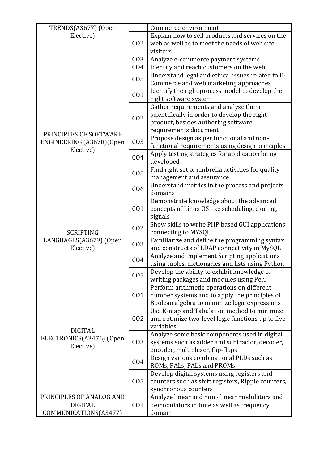| TRENDS(A3677) (Open                                     |                 | Commerce environment                                                                                                                                 |
|---------------------------------------------------------|-----------------|------------------------------------------------------------------------------------------------------------------------------------------------------|
| Elective)                                               |                 | Explain how to sell products and services on the                                                                                                     |
|                                                         | CO <sub>2</sub> | web as well as to meet the needs of web site                                                                                                         |
|                                                         |                 | visitors                                                                                                                                             |
|                                                         | CO <sub>3</sub> | Analyze e-commerce payment systems                                                                                                                   |
|                                                         | CO <sub>4</sub> | Identify and reach customers on the web                                                                                                              |
|                                                         | CO <sub>5</sub> | Understand legal and ethical issues related to E-<br>Commerce and web marketing approaches                                                           |
|                                                         | CO <sub>1</sub> | Identify the right process model to develop the<br>right software system                                                                             |
|                                                         | CO <sub>2</sub> | Gather requirements and analyze them<br>scientifically in order to develop the right<br>product, besides authoring software<br>requirements document |
| PRINCIPLES OF SOFTWARE<br>ENGINEERING (A3678) (Open     | CO <sub>3</sub> | Propose design as per functional and non-<br>functional requirements using design principles                                                         |
| Elective)                                               | CO <sub>4</sub> | Apply testing strategies for application being<br>developed                                                                                          |
|                                                         | CO <sub>5</sub> | Find right set of umbrella activities for quality<br>management and assurance                                                                        |
|                                                         | C <sub>06</sub> | Understand metrics in the process and projects<br>domains                                                                                            |
|                                                         | CO <sub>1</sub> | Demonstrate knowledge about the advanced<br>concepts of Linux OS like scheduling, cloning,<br>signals                                                |
| <b>SCRIPTING</b>                                        | CO <sub>2</sub> | Show skills to write PHP based GUI applications<br>connecting to MYSQL                                                                               |
| LANGUAGES(A3679) (Open<br>Elective)                     | CO <sub>3</sub> | Familiarize and define the programming syntax<br>and constructs of LDAP connectivity in MySQL                                                        |
|                                                         | CO <sub>4</sub> | Analyze and implement Scripting applications<br>using tuples, dictionaries and lists using Python                                                    |
|                                                         | CO <sub>5</sub> | Develop the ability to exhibit knowledge of<br>writing packages and modules using Perl                                                               |
|                                                         | CO <sub>1</sub> | Perform arithmetic operations on different<br>number systems and to apply the principles of<br>Boolean algebra to minimize logic expressions         |
| <b>DIGITAL</b><br>ELECTRONICS(A3476) (Open<br>Elective) | CO <sub>2</sub> | Use K-map and Tabulation method to minimize<br>and optimize two-level logic functions up to five<br>variables                                        |
|                                                         | CO <sub>3</sub> | Analyze some basic components used in digital<br>systems such as adder and subtractor, decoder,<br>encoder, multiplexer, flip-flops                  |
|                                                         | CO <sub>4</sub> | Design various combinational PLDs such as<br>ROMs, PALs, PALs and PROMs                                                                              |
|                                                         | CO <sub>5</sub> | Develop digital systems using registers and<br>counters such as shift registers, Ripple counters,<br>synchronous counters                            |
| PRINCIPLES OF ANALOG AND<br><b>DIGITAL</b>              | CO <sub>1</sub> | Analyze linear and non - linear modulators and<br>demodulators in time as well as frequency                                                          |
| COMMUNICATIONS(A3477)                                   |                 | domain                                                                                                                                               |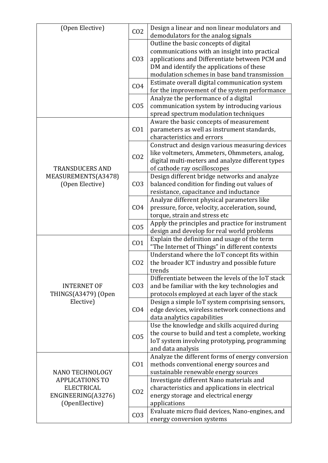| (Open Elective)                                                                                        | CO <sub>2</sub> | Design a linear and non linear modulators and<br>demodulators for the analog signals                                                                                                                                                  |
|--------------------------------------------------------------------------------------------------------|-----------------|---------------------------------------------------------------------------------------------------------------------------------------------------------------------------------------------------------------------------------------|
|                                                                                                        | CO <sub>3</sub> | Outline the basic concepts of digital<br>communications with an insight into practical<br>applications and Differentiate between PCM and<br>DM and identify the applications of these<br>modulation schemes in base band transmission |
|                                                                                                        | CO <sub>4</sub> | Estimate overall digital communication system<br>for the improvement of the system performance                                                                                                                                        |
|                                                                                                        | CO <sub>5</sub> | Analyze the performance of a digital<br>communication system by introducing various<br>spread spectrum modulation techniques                                                                                                          |
|                                                                                                        | CO <sub>1</sub> | Aware the basic concepts of measurement<br>parameters as well as instrument standards,<br>characteristics and errors                                                                                                                  |
| <b>TRANSDUCERS AND</b>                                                                                 | CO <sub>2</sub> | Construct and design various measuring devices<br>like voltmeters, Ammeters, Ohmmeters, analog,<br>digital multi-meters and analyze different types<br>of cathode ray oscilloscopes                                                   |
| MEASUREMENTS(A3478)<br>(Open Elective)                                                                 | CO <sub>3</sub> | Design different bridge networks and analyze<br>balanced condition for finding out values of<br>resistance, capacitance and inductance                                                                                                |
|                                                                                                        | CO <sub>4</sub> | Analyze different physical parameters like<br>pressure, force, velocity, acceleration, sound,<br>torque, strain and stress etc                                                                                                        |
|                                                                                                        | CO <sub>5</sub> | Apply the principles and practice for instrument<br>design and develop for real world problems                                                                                                                                        |
|                                                                                                        | CO <sub>1</sub> | Explain the definition and usage of the term<br>"The Internet of Things" in different contexts                                                                                                                                        |
|                                                                                                        | CO <sub>2</sub> | Understand where the IoT concept fits within<br>the broader ICT industry and possible future<br>trends                                                                                                                                |
| <b>INTERNET OF</b><br>THINGS(A3479) (Open                                                              | CO <sub>3</sub> | Differentiate between the levels of the IoT stack<br>and be familiar with the key technologies and<br>protocols employed at each layer of the stack                                                                                   |
| Elective)                                                                                              | CO <sub>4</sub> | Design a simple IoT system comprising sensors,<br>edge devices, wireless network connections and<br>data analytics capabilities                                                                                                       |
|                                                                                                        | CO <sub>5</sub> | Use the knowledge and skills acquired during<br>the course to build and test a complete, working<br>IoT system involving prototyping, programming<br>and data analysis                                                                |
| NANO TECHNOLOGY<br><b>APPLICATIONS TO</b><br><b>ELECTRICAL</b><br>ENGINEERING(A3276)<br>(OpenElective) | CO <sub>1</sub> | Analyze the different forms of energy conversion<br>methods conventional energy sources and<br>sustainable renewable energy sources                                                                                                   |
|                                                                                                        | CO <sub>2</sub> | Investigate different Nano materials and<br>characteristics and applications in electrical<br>energy storage and electrical energy<br>applications                                                                                    |
|                                                                                                        | CO <sub>3</sub> | Evaluate micro fluid devices, Nano-engines, and<br>energy conversion systems                                                                                                                                                          |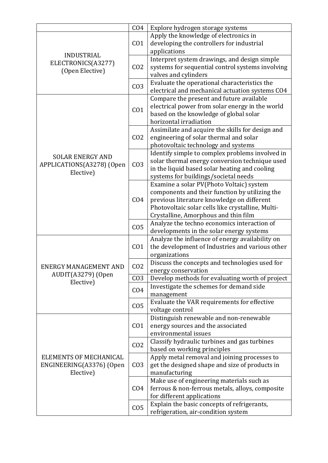|                                                                 | CO <sub>4</sub> | Explore hydrogen storage systems                                                        |
|-----------------------------------------------------------------|-----------------|-----------------------------------------------------------------------------------------|
|                                                                 |                 | Apply the knowledge of electronics in                                                   |
|                                                                 | CO <sub>1</sub> | developing the controllers for industrial                                               |
| <b>INDUSTRIAL</b>                                               |                 | applications                                                                            |
| ELECTRONICS(A3277)                                              |                 | Interpret system drawings, and design simple                                            |
| (Open Elective)                                                 | CO <sub>2</sub> | systems for sequential control systems involving                                        |
|                                                                 |                 | valves and cylinders                                                                    |
|                                                                 | CO <sub>3</sub> | Evaluate the operational characteristics the                                            |
|                                                                 |                 | electrical and mechanical actuation systems CO4                                         |
|                                                                 |                 | Compare the present and future available                                                |
|                                                                 | CO <sub>1</sub> | electrical power from solar energy in the world                                         |
|                                                                 |                 | based on the knowledge of global solar                                                  |
|                                                                 |                 | horizontal irradiation                                                                  |
|                                                                 |                 | Assimilate and acquire the skills for design and                                        |
|                                                                 | CO <sub>2</sub> | engineering of solar thermal and solar                                                  |
|                                                                 |                 | photovoltaic technology and systems                                                     |
| <b>SOLAR ENERGY AND</b>                                         |                 | Identify simple to complex problems involved in                                         |
| APPLICATIONS(A3278) (Open                                       | CO <sub>3</sub> | solar thermal energy conversion technique used                                          |
| Elective)                                                       |                 | in the liquid based solar heating and cooling                                           |
|                                                                 |                 | systems for buildings/societal needs                                                    |
|                                                                 |                 | Examine a solar PV(Photo Voltaic) system                                                |
|                                                                 |                 | components and their function by utilizing the                                          |
|                                                                 | CO <sub>4</sub> | previous literature knowledge on different                                              |
|                                                                 |                 | Photovoltaic solar cells like crystalline, Multi-                                       |
|                                                                 | CO <sub>5</sub> | Crystalline, Amorphous and thin film                                                    |
|                                                                 |                 | Analyze the techno economics interaction of<br>developments in the solar energy systems |
|                                                                 | CO <sub>1</sub> | Analyze the influence of energy availability on                                         |
|                                                                 |                 | the development of Industries and various other                                         |
|                                                                 |                 | organizations                                                                           |
|                                                                 |                 | Discuss the concepts and technologies used for                                          |
| ENERGY MANAGEMENT AND                                           | CO <sub>2</sub> | energy conservation                                                                     |
| AUDIT(A3279) (Open                                              | CO <sub>3</sub> | Develop methods for evaluating worth of project                                         |
| Elective)                                                       |                 | Investigate the schemes for demand side                                                 |
|                                                                 | CO <sub>4</sub> | management                                                                              |
|                                                                 |                 | Evaluate the VAR requirements for effective                                             |
|                                                                 | CO <sub>5</sub> | voltage control                                                                         |
|                                                                 |                 | Distinguish renewable and non-renewable                                                 |
|                                                                 | CO <sub>1</sub> | energy sources and the associated                                                       |
|                                                                 |                 | environmental issues                                                                    |
| ELEMENTS OF MECHANICAL<br>ENGINEERING(A3376) (Open<br>Elective) | CO <sub>2</sub> | Classify hydraulic turbines and gas turbines                                            |
|                                                                 |                 | based on working principles                                                             |
|                                                                 |                 | Apply metal removal and joining processes to                                            |
|                                                                 | CO <sub>3</sub> | get the designed shape and size of products in                                          |
|                                                                 |                 | manufacturing                                                                           |
|                                                                 | CO <sub>4</sub> | Make use of engineering materials such as                                               |
|                                                                 |                 | ferrous & non-ferrous metals, alloys, composite                                         |
|                                                                 |                 | for different applications                                                              |
|                                                                 | CO <sub>5</sub> | Explain the basic concepts of refrigerants,                                             |
|                                                                 |                 | refrigeration, air-condition system                                                     |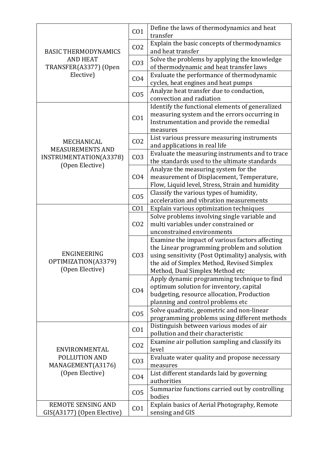| <b>BASIC THERMODYNAMICS</b><br><b>AND HEAT</b>                         | CO <sub>1</sub> | Define the laws of thermodynamics and heat<br>transfer                                                                                                                                                                                |
|------------------------------------------------------------------------|-----------------|---------------------------------------------------------------------------------------------------------------------------------------------------------------------------------------------------------------------------------------|
|                                                                        | CO <sub>2</sub> | Explain the basic concepts of thermodynamics<br>and heat transfer                                                                                                                                                                     |
|                                                                        | CO <sub>3</sub> | Solve the problems by applying the knowledge<br>of thermodynamic and heat transfer laws                                                                                                                                               |
| TRANSFER(A3377) (Open<br>Elective)                                     | CO <sub>4</sub> | Evaluate the performance of thermodynamic                                                                                                                                                                                             |
|                                                                        | CO <sub>5</sub> | cycles, heat engines and heat pumps<br>Analyze heat transfer due to conduction,                                                                                                                                                       |
|                                                                        |                 | convection and radiation<br>Identify the functional elements of generalized                                                                                                                                                           |
|                                                                        | CO <sub>1</sub> | measuring system and the errors occurring in<br>Instrumentation and provide the remedial<br>measures                                                                                                                                  |
| MECHANICAL                                                             | CO <sub>2</sub> | List various pressure measuring instruments<br>and applications in real life                                                                                                                                                          |
| <b>MEASUREMENTS AND</b><br>INSTRUMENTATION(A3378)                      | CO <sub>3</sub> | Evaluate the measuring instruments and to trace<br>the standards used to the ultimate standards                                                                                                                                       |
| (Open Elective)                                                        | CO <sub>4</sub> | Analyze the measuring system for the<br>measurement of Displacement, Temperature,<br>Flow, Liquid level, Stress, Strain and humidity                                                                                                  |
|                                                                        | CO <sub>5</sub> | Classify the various types of humidity,<br>acceleration and vibration measurements                                                                                                                                                    |
|                                                                        | CO <sub>1</sub> | Explain various optimization techniques                                                                                                                                                                                               |
|                                                                        | CO <sub>2</sub> | Solve problems involving single variable and                                                                                                                                                                                          |
|                                                                        |                 | multi variables under constrained or                                                                                                                                                                                                  |
|                                                                        |                 | unconstrained environments                                                                                                                                                                                                            |
| ENGINEERING<br>OPTIMIZATION(A3379)<br>(Open Elective)                  | CO <sub>3</sub> | Examine the impact of various factors affecting<br>the Linear programming problem and solution<br>using sensitivity (Post Optimality) analysis, with<br>the aid of Simplex Method, Revised Simplex<br>Method, Dual Simplex Method etc |
|                                                                        | CO <sub>4</sub> | Apply dynamic programming technique to find<br>optimum solution for inventory, capital<br>budgeting, resource allocation, Production<br>planning and control problems etc                                                             |
|                                                                        | CO <sub>5</sub> | Solve quadratic, geometric and non-linear<br>programming problems using different methods                                                                                                                                             |
|                                                                        | CO <sub>1</sub> | Distinguish between various modes of air<br>pollution and their characteristic                                                                                                                                                        |
| ENVIRONMENTAL<br>POLLUTION AND<br>MANAGEMENT(A3176)<br>(Open Elective) | CO <sub>2</sub> | Examine air pollution sampling and classify its<br>level                                                                                                                                                                              |
|                                                                        | CO <sub>3</sub> | Evaluate water quality and propose necessary<br>measures                                                                                                                                                                              |
|                                                                        | CO <sub>4</sub> | List different standards laid by governing<br>authorities                                                                                                                                                                             |
|                                                                        | CO <sub>5</sub> | Summarize functions carried out by controlling<br>bodies                                                                                                                                                                              |
| <b>REMOTE SENSING AND</b><br>GIS(A3177) (Open Elective)                | CO <sub>1</sub> | Explain basics of Aerial Photography, Remote<br>sensing and GIS                                                                                                                                                                       |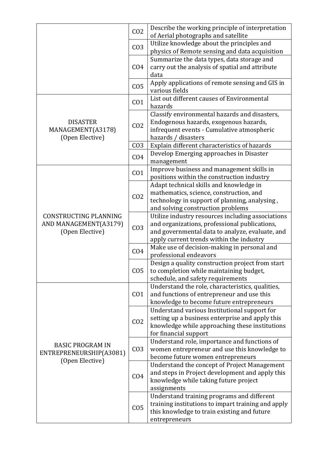|                                                                       | CO <sub>2</sub> | Describe the working principle of interpretation<br>of Aerial photographs and satellite                                                                                                           |
|-----------------------------------------------------------------------|-----------------|---------------------------------------------------------------------------------------------------------------------------------------------------------------------------------------------------|
|                                                                       | CO <sub>3</sub> | Utilize knowledge about the principles and<br>physics of Remote sensing and data acquisition                                                                                                      |
|                                                                       | CO <sub>4</sub> | Summarize the data types, data storage and<br>carry out the analysis of spatial and attribute<br>data                                                                                             |
|                                                                       | CO <sub>5</sub> | Apply applications of remote sensing and GIS in<br>various fields                                                                                                                                 |
|                                                                       | CO <sub>1</sub> | List out different causes of Environmental<br>hazards                                                                                                                                             |
| <b>DISASTER</b><br>MANAGEMENT(A3178)<br>(Open Elective)               | CO <sub>2</sub> | Classify environmental hazards and disasters,<br>Endogenous hazards, exogenous hazards,<br>infrequent events - Cumulative atmospheric<br>hazards / disasters                                      |
|                                                                       | CO <sub>3</sub> | Explain different characteristics of hazards                                                                                                                                                      |
|                                                                       | CO <sub>4</sub> | Develop Emerging approaches in Disaster<br>management                                                                                                                                             |
|                                                                       | CO <sub>1</sub> | Improve business and management skills in<br>positions within the construction industry                                                                                                           |
| CONSTRUCTING PLANNING<br>AND MANAGEMENT(A3179)<br>(Open Elective)     | CO <sub>2</sub> | Adapt technical skills and knowledge in<br>mathematics, science, construction, and<br>technology in support of planning, analysing,<br>and solving construction problems                          |
|                                                                       | CO <sub>3</sub> | Utilize industry resources including associations<br>and organizations, professional publications,<br>and governmental data to analyze, evaluate, and<br>apply current trends within the industry |
|                                                                       | CO <sub>4</sub> | Make use of decision-making in personal and<br>professional endeavors                                                                                                                             |
|                                                                       | CO <sub>5</sub> | Design a quality construction project from start<br>to completion while maintaining budget,<br>schedule, and safety requirements                                                                  |
|                                                                       | CO <sub>1</sub> | Understand the role, characteristics, qualities,<br>and functions of entrepreneur and use this<br>knowledge to become future entrepreneurs                                                        |
| <b>BASIC PROGRAM IN</b><br>ENTREPRENEURSHIP(A3081)<br>(Open Elective) | CO <sub>2</sub> | Understand various Institutional support for<br>setting up a business enterprise and apply this<br>knowledge while approaching these institutions<br>for financial support                        |
|                                                                       | CO <sub>3</sub> | Understand role, importance and functions of<br>women entrepreneur and use this knowledge to<br>become future women entrepreneurs                                                                 |
|                                                                       | CO <sub>4</sub> | Understand the concept of Project Management<br>and steps in Project development and apply this<br>knowledge while taking future project<br>assignments                                           |
|                                                                       | CO <sub>5</sub> | Understand training programs and different<br>training institutions to impart training and apply<br>this knowledge to train existing and future<br>entrepreneurs                                  |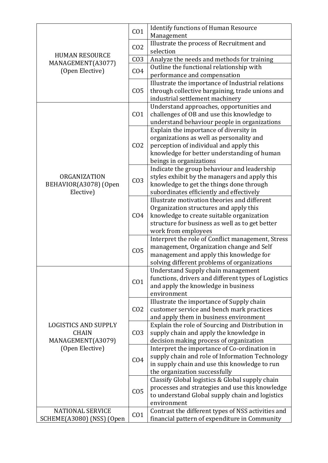|                             | CO <sub>1</sub> | <b>Identify functions of Human Resource</b>         |
|-----------------------------|-----------------|-----------------------------------------------------|
|                             |                 | Management                                          |
|                             | CO <sub>2</sub> | Illustrate the process of Recruitment and           |
| <b>HUMAN RESOURCE</b>       |                 | selection                                           |
| MANAGEMENT(A3077)           | CO <sub>3</sub> | Analyze the needs and methods for training          |
| (Open Elective)             | CO <sub>4</sub> | Outline the functional relationship with            |
|                             |                 | performance and compensation                        |
|                             |                 | Illustrate the importance of Industrial relations   |
|                             | CO <sub>5</sub> | through collective bargaining, trade unions and     |
|                             |                 | industrial settlement machinery                     |
|                             |                 | Understand approaches, opportunities and            |
|                             | CO <sub>1</sub> | challenges of OB and use this knowledge to          |
|                             |                 | understand behaviour people in organizations        |
|                             |                 | Explain the importance of diversity in              |
|                             |                 | organizations as well as personality and            |
|                             | CO <sub>2</sub> | perception of individual and apply this             |
|                             |                 | knowledge for better understanding of human         |
|                             |                 | beings in organizations                             |
|                             |                 | Indicate the group behaviour and leadership         |
| ORGANIZATION                |                 | styles exhibit by the managers and apply this       |
| BEHAVIOR(A3078) (Open       | CO <sub>3</sub> | knowledge to get the things done through            |
| Elective)                   |                 | subordinates efficiently and effectively            |
|                             |                 | Illustrate motivation theories and different        |
|                             |                 | Organization structures and apply this              |
|                             | CO <sub>4</sub> | knowledge to create suitable organization           |
|                             |                 | structure for business as well as to get better     |
|                             |                 | work from employees                                 |
|                             | CO <sub>5</sub> | Interpret the role of Conflict management, Stress   |
|                             |                 | management, Organization change and Self            |
|                             |                 | management and apply this knowledge for             |
|                             |                 | solving different problems of organizations         |
|                             |                 | Understand Supply chain management                  |
|                             | CO <sub>1</sub> | functions, drivers and different types of Logistics |
|                             |                 | and apply the knowledge in business                 |
|                             |                 | environment                                         |
|                             |                 | Illustrate the importance of Supply chain           |
|                             | CO <sub>2</sub> | customer service and bench mark practices           |
|                             |                 | and apply them in business environment              |
| <b>LOGISTICS AND SUPPLY</b> |                 | Explain the role of Sourcing and Distribution in    |
| <b>CHAIN</b>                | CO <sub>3</sub> | supply chain and apply the knowledge in             |
| MANAGEMENT(A3079)           |                 | decision making process of organization             |
| (Open Elective)             |                 | Interpret the importance of Co-ordination in        |
|                             | CO <sub>4</sub> | supply chain and role of Information Technology     |
|                             |                 | in supply chain and use this knowledge to run       |
|                             |                 | the organization successfully                       |
|                             |                 | Classify Global logistics & Global supply chain     |
|                             | CO <sub>5</sub> | processes and strategies and use this knowledge     |
|                             |                 | to understand Global supply chain and logistics     |
|                             |                 | environment                                         |
| <b>NATIONAL SERVICE</b>     | CO <sub>1</sub> | Contrast the different types of NSS activities and  |
| SCHEME(A3080) (NSS) (Open   |                 | financial pattern of expenditure in Community       |